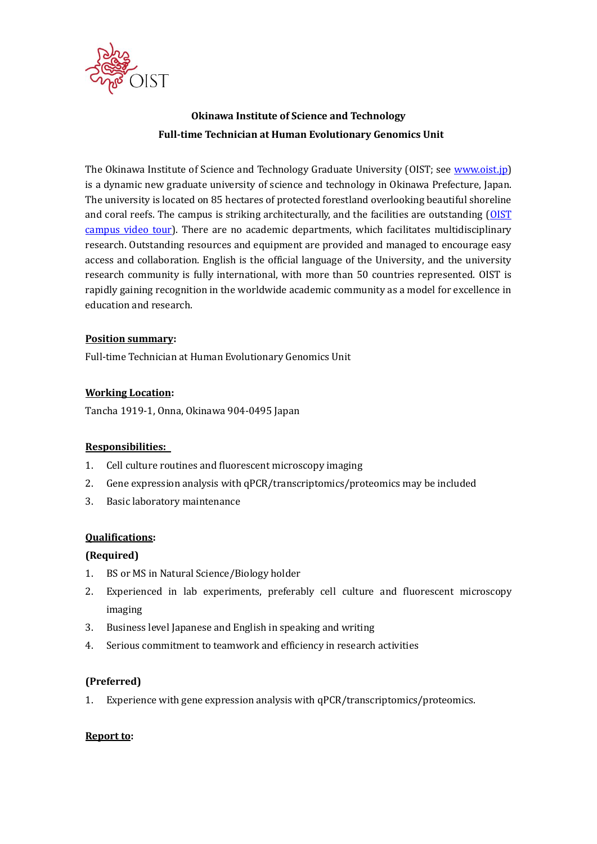

# **Okinawa Institute of Science and Technology Full-time Technician at Human Evolutionary Genomics Unit**

The Okinawa Institute of Science and Technology Graduate University (OIST; see [www.oist.jp\)](http://www.oist.jp/) is a dynamic new graduate university of science and technology in Okinawa Prefecture, Japan. The university is located on 85 hectares of protected forestland overlooking beautiful shoreline and coral reefs. The campus is striking architecturally, and the facilities are outstanding [\(OIST](https://youtu.be/OLeylXbZDpo)  [campus video tour\)](https://youtu.be/OLeylXbZDpo). There are no academic departments, which facilitates multidisciplinary research. Outstanding resources and equipment are provided and managed to encourage easy access and collaboration. English is the official language of the University, and the university research community is fully international, with more than 50 countries represented. OIST is rapidly gaining recognition in the worldwide academic community as a model for excellence in education and research.

#### **Position summary:**

Full-time Technician at Human Evolutionary Genomics Unit

## **Working Location:**

Tancha 1919-1, Onna, Okinawa 904-0495 Japan

## **Responsibilities:**

- 1. Cell culture routines and fluorescent microscopy imaging
- 2. Gene expression analysis with qPCR/transcriptomics/proteomics may be included
- 3. Basic laboratory maintenance

## **Qualifications:**

## **(Required)**

- 1. BS or MS in Natural Science/Biology holder
- 2. Experienced in lab experiments, preferably cell culture and fluorescent microscopy imaging
- 3. Business level Japanese and English in speaking and writing
- 4. Serious commitment to teamwork and efficiency in research activities

## **(Preferred)**

1. Experience with gene expression analysis with qPCR/transcriptomics/proteomics.

#### **Report to:**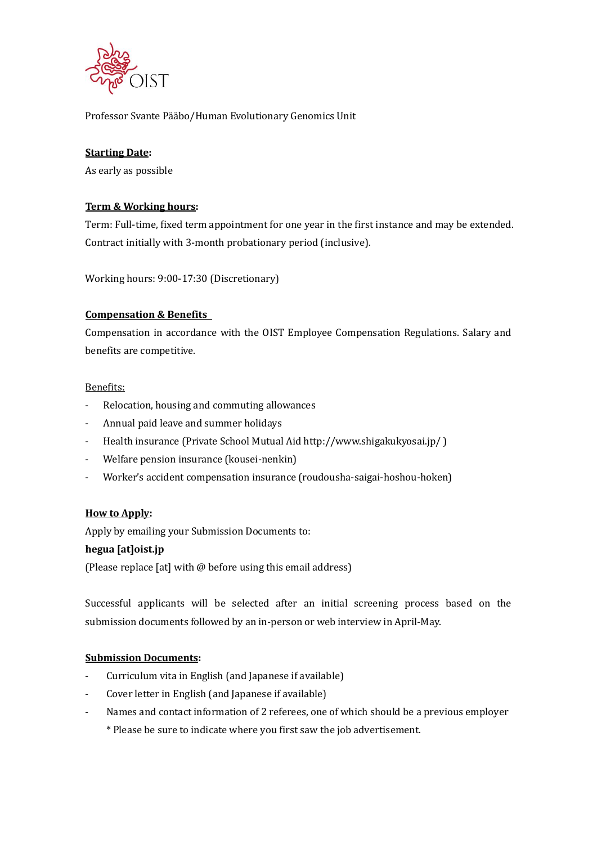

Professor Svante Pääbo/Human Evolutionary Genomics Unit

# **Starting Date:**

As early as possible

# **Term & Working hours:**

Term: Full-time, fixed term appointment for one year in the first instance and may be extended. Contract initially with 3-month probationary period (inclusive).

Working hours: 9:00-17:30 (Discretionary)

## **Compensation & Benefits**

Compensation in accordance with the OIST Employee Compensation Regulations. Salary and benefits are competitive.

#### Benefits:

- Relocation, housing and commuting allowances
- Annual paid leave and summer holidays
- Health insurance (Private School Mutual Aid http://www.shigakukyosai.jp/ )
- Welfare pension insurance (kousei-nenkin)
- Worker's accident compensation insurance (roudousha-saigai-hoshou-hoken)

## **How to Apply:**

Apply by emailing your Submission Documents to:

## **hegua [at]oist.jp**

(Please replace [at] with @ before using this email address)

Successful applicants will be selected after an initial screening process based on the submission documents followed by an in-person or web interview in April-May.

## **Submission Documents:**

- Curriculum vita in English (and Japanese if available)
- Cover letter in English (and Japanese if available)
- Names and contact information of 2 referees, one of which should be a previous employer
	- \* Please be sure to indicate where you first saw the job advertisement.